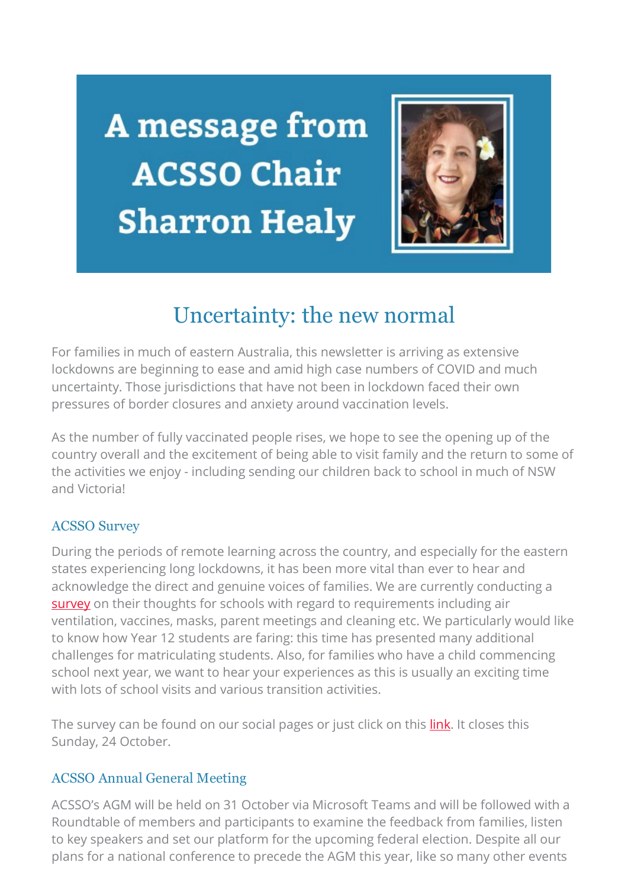A message from **ACSSO Chair Sharron Healy** 



## Uncertainty: the new normal

For families in much of eastern Australia, this newsletter is arriving as extensive lockdowns are beginning to ease and amid high case numbers of COVID and much uncertainty. Those jurisdictions that have not been in lockdown faced their own pressures of border closures and anxiety around vaccination levels.

As the number of fully vaccinated people rises, we hope to see the opening up of the country overall and the excitement of being able to visit family and the return to some of the activities we enjoy - including sending our children back to school in much of NSW and Victoria!

## ACSSO Survey

During the periods of remote learning across the country, and especially for the eastern states experiencing long lockdowns, it has been more vital than ever to hear and acknowledge the direct and genuine voices of families. We are currently conducting a [survey](https://acsso.createsend1.com/t/i-l-ctltrtl-l-h/) on their thoughts for schools with regard to requirements including air ventilation, vaccines, masks, parent meetings and cleaning etc. We particularly would like to know how Year 12 students are faring: this time has presented many additional challenges for matriculating students. Also, for families who have a child commencing school next year, we want to hear your experiences as this is usually an exciting time with lots of school visits and various transition activities.

The survey can be found on our social pages or just click on this *link*. It closes this Sunday, 24 October.

## ACSSO Annual General Meeting

ACSSO's AGM will be held on 31 October via Microsoft Teams and will be followed with a Roundtable of members and participants to examine the feedback from families, listen to key speakers and set our platform for the upcoming federal election. Despite all our plans for a national conference to precede the AGM this year, like so many other events